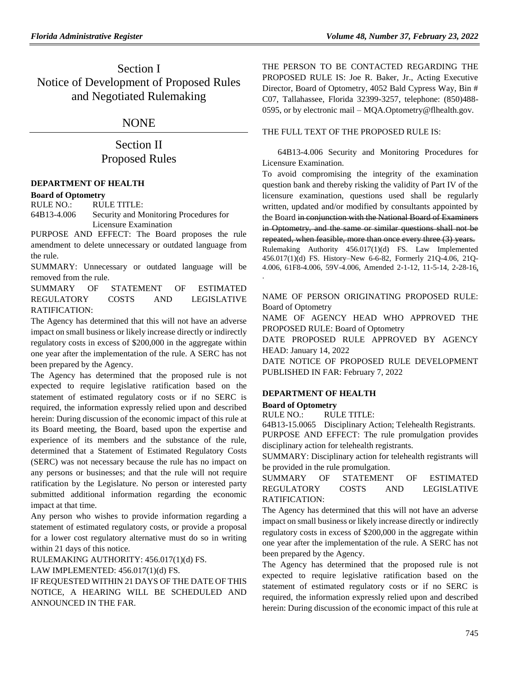Section I Notice of Development of Proposed Rules and Negotiated Rulemaking

## NONE

# Section II Proposed Rules

### **[DEPARTMENT OF HEALTH](https://www.flrules.org/gateway/department.asp?id=64)**

**[Board of Optometry](https://www.flrules.org/gateway/organization.asp?id=304)**

RULE NO.: RULE TITLE:

[64B13-4.006](https://www.flrules.org/gateway/ruleNo.asp?id=64B13-4.006) Security and Monitoring Procedures for Licensure Examination

PURPOSE AND EFFECT: The Board proposes the rule amendment to delete unnecessary or outdated language from the rule.

SUMMARY: Unnecessary or outdated language will be removed from the rule.

SUMMARY OF STATEMENT OF ESTIMATED REGULATORY COSTS AND LEGISLATIVE RATIFICATION:

The Agency has determined that this will not have an adverse impact on small business or likely increase directly or indirectly regulatory costs in excess of \$200,000 in the aggregate within one year after the implementation of the rule. A SERC has not been prepared by the Agency.

The Agency has determined that the proposed rule is not expected to require legislative ratification based on the statement of estimated regulatory costs or if no SERC is required, the information expressly relied upon and described herein: During discussion of the economic impact of this rule at its Board meeting, the Board, based upon the expertise and experience of its members and the substance of the rule, determined that a Statement of Estimated Regulatory Costs (SERC) was not necessary because the rule has no impact on any persons or businesses; and that the rule will not require ratification by the Legislature. No person or interested party submitted additional information regarding the economic impact at that time.

Any person who wishes to provide information regarding a statement of estimated regulatory costs, or provide a proposal for a lower cost regulatory alternative must do so in writing within 21 days of this notice.

RULEMAKING AUTHORITY: [456.017\(1\)\(d\) FS.](https://www.flrules.org/gateway/statute.asp?id=456.017(1)(d)%20FS.)

LAW IMPLEMENTED: [456.017\(1\)\(d\) FS.](https://www.flrules.org/gateway/statute.asp?id=456.017(1)(d)%20FS.)

IF REQUESTED WITHIN 21 DAYS OF THE DATE OF THIS NOTICE, A HEARING WILL BE SCHEDULED AND ANNOUNCED IN THE FAR.

THE PERSON TO BE CONTACTED REGARDING THE PROPOSED RULE IS: Joe R. Baker, Jr., Acting Executive Director, Board of Optometry, 4052 Bald Cypress Way, Bin # C07, Tallahassee, Florida 32399-3257, telephone: (850)488- 0595, or by electronic mail – MQA.Optometry@flhealth.gov.

### THE FULL TEXT OF THE PROPOSED RULE IS:

64B13-4.006 Security and Monitoring Procedures for Licensure Examination.

To avoid compromising the integrity of the examination question bank and thereby risking the validity of Part IV of the licensure examination, questions used shall be regularly written, updated and/or modified by consultants appointed by the Board in conjunction with the National Board of Examiners in Optometry, and the same or similar questions shall not be repeated, when feasible, more than once every three (3) years. Rulemaking Authority 456.017(1)(d) FS. Law Implemented 456.017(1)(d) FS. History–New 6-6-82, Formerly 21Q-4.06, 21Q-4.006, 61F8-4.006, 59V-4.006, Amended 2-1-12, 11-5-14, 2-28-16, .

NAME OF PERSON ORIGINATING PROPOSED RULE: Board of Optometry

NAME OF AGENCY HEAD WHO APPROVED THE PROPOSED RULE: Board of Optometry

DATE PROPOSED RULE APPROVED BY AGENCY HEAD: January 14, 2022

DATE NOTICE OF PROPOSED RULE DEVELOPMENT PUBLISHED IN FAR: February 7, 2022

## **[DEPARTMENT OF HEALTH](https://www.flrules.org/gateway/department.asp?id=64)**

### **[Board of Optometry](https://www.flrules.org/gateway/organization.asp?id=304)**

RULE NO.: RULE TITLE:

[64B13-15.0065](https://www.flrules.org/gateway/ruleNo.asp?id=64B13-15.0065) Disciplinary Action; Telehealth Registrants. PURPOSE AND EFFECT: The rule promulgation provides disciplinary action for telehealth registrants.

SUMMARY: Disciplinary action for telehealth registrants will be provided in the rule promulgation.

SUMMARY OF STATEMENT OF ESTIMATED REGULATORY COSTS AND LEGISLATIVE RATIFICATION:

The Agency has determined that this will not have an adverse impact on small business or likely increase directly or indirectly regulatory costs in excess of \$200,000 in the aggregate within one year after the implementation of the rule. A SERC has not been prepared by the Agency.

The Agency has determined that the proposed rule is not expected to require legislative ratification based on the statement of estimated regulatory costs or if no SERC is required, the information expressly relied upon and described herein: During discussion of the economic impact of this rule at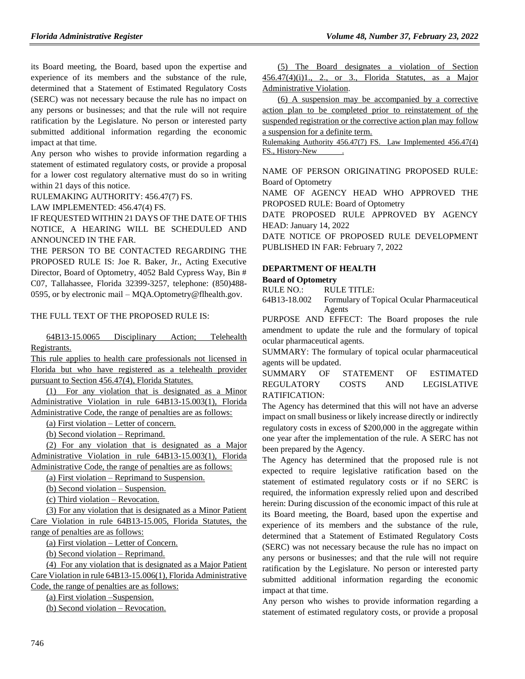its Board meeting, the Board, based upon the expertise and experience of its members and the substance of the rule, determined that a Statement of Estimated Regulatory Costs (SERC) was not necessary because the rule has no impact on any persons or businesses; and that the rule will not require ratification by the Legislature. No person or interested party submitted additional information regarding the economic impact at that time.

Any person who wishes to provide information regarding a statement of estimated regulatory costs, or provide a proposal for a lower cost regulatory alternative must do so in writing within 21 days of this notice.

RULEMAKING AUTHORITY: [456.47\(7\) FS.](https://www.flrules.org/gateway/statute.asp?id=456.47(7)%20FS.)

LAW IMPLEMENTED: [456.47\(4\) FS.](https://www.flrules.org/gateway/statute.asp?id=456.47(4)%20FS.)

IF REQUESTED WITHIN 21 DAYS OF THE DATE OF THIS NOTICE, A HEARING WILL BE SCHEDULED AND ANNOUNCED IN THE FAR.

THE PERSON TO BE CONTACTED REGARDING THE PROPOSED RULE IS: Joe R. Baker, Jr., Acting Executive Director, Board of Optometry, 4052 Bald Cypress Way, Bin # C07, Tallahassee, Florida 32399-3257, telephone: (850)488- 0595, or by electronic mail – MQA.Optometry@flhealth.gov.

### THE FULL TEXT OF THE PROPOSED RULE IS:

64B13-15.0065 Disciplinary Action; Telehealth Registrants.

This rule applies to health care professionals not licensed in Florida but who have registered as a telehealth provider pursuant to Section 456.47(4), Florida Statutes.

(1) For any violation that is designated as a Minor Administrative Violation in rule 64B13-15.003(1), Florida Administrative Code, the range of penalties are as follows:

(a) First violation – Letter of concern.

(b) Second violation – Reprimand.

(2) For any violation that is designated as a Major Administrative Violation in rule 64B13-15.003(1), Florida Administrative Code, the range of penalties are as follows:

(a) First violation – Reprimand to Suspension.

(b) Second violation – Suspension.

(c) Third violation – Revocation.

(3) For any violation that is designated as a Minor Patient Care Violation in rule 64B13-15.005, Florida Statutes, the range of penalties are as follows:

(a) First violation – Letter of Concern.

(b) Second violation – Reprimand.

(4) For any violation that is designated as a Major Patient Care Violation in rule 64B13-15.006(1), Florida Administrative Code, the range of penalties are as follows:

(a) First violation –Suspension.

(b) Second violation – Revocation.

(5) The Board designates a violation of Section  $456.47(4)(i)1$ ., 2., or 3., Florida Statutes, as a Major Administrative Violation.

(6) A suspension may be accompanied by a corrective action plan to be completed prior to reinstatement of the suspended registration or the corrective action plan may follow a suspension for a definite term.

Rulemaking Authority 456.47(7) FS. Law Implemented 456.47(4) FS., History-New .

NAME OF PERSON ORIGINATING PROPOSED RULE: Board of Optometry

NAME OF AGENCY HEAD WHO APPROVED THE PROPOSED RULE: Board of Optometry

DATE PROPOSED RULE APPROVED BY AGENCY HEAD: January 14, 2022

DATE NOTICE OF PROPOSED RULE DEVELOPMENT PUBLISHED IN FAR: February 7, 2022

## **[DEPARTMENT OF HEALTH](https://www.flrules.org/gateway/department.asp?id=64)**

**[Board of Optometry](https://www.flrules.org/gateway/organization.asp?id=304)**

RULE NO.: RULE TITLE:

[64B13-18.002](https://www.flrules.org/gateway/ruleNo.asp?id=64B13-18.002) Formulary of Topical Ocular Pharmaceutical Agents

PURPOSE AND EFFECT: The Board proposes the rule amendment to update the rule and the formulary of topical ocular pharmaceutical agents.

SUMMARY: The formulary of topical ocular pharmaceutical agents will be updated.

SUMMARY OF STATEMENT OF ESTIMATED REGULATORY COSTS AND LEGISLATIVE RATIFICATION:

The Agency has determined that this will not have an adverse impact on small business or likely increase directly or indirectly regulatory costs in excess of \$200,000 in the aggregate within one year after the implementation of the rule. A SERC has not been prepared by the Agency.

The Agency has determined that the proposed rule is not expected to require legislative ratification based on the statement of estimated regulatory costs or if no SERC is required, the information expressly relied upon and described herein: During discussion of the economic impact of this rule at its Board meeting, the Board, based upon the expertise and experience of its members and the substance of the rule, determined that a Statement of Estimated Regulatory Costs (SERC) was not necessary because the rule has no impact on any persons or businesses; and that the rule will not require ratification by the Legislature. No person or interested party submitted additional information regarding the economic impact at that time.

Any person who wishes to provide information regarding a statement of estimated regulatory costs, or provide a proposal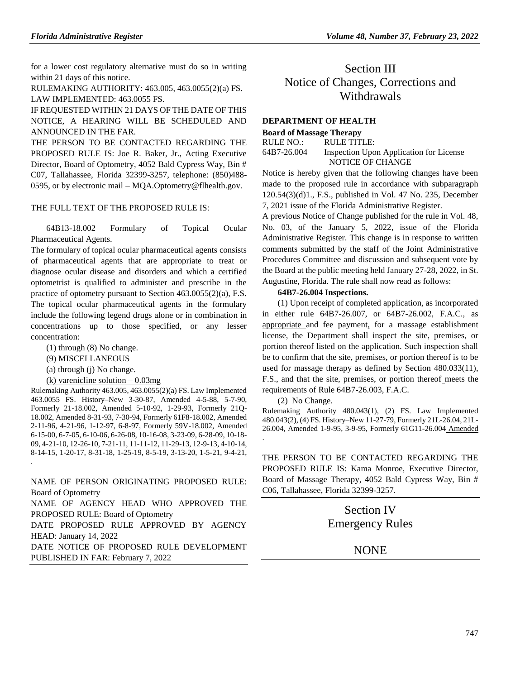for a lower cost regulatory alternative must do so in writing within 21 days of this notice.

RULEMAKING AUTHORITY: [463.005,](https://www.flrules.org/gateway/statute.asp?id=463.005) [463.0055\(2\)\(a\) FS.](https://www.flrules.org/gateway/statute.asp?id=%20463.0055(2)(a)%20FS.) LAW IMPLEMENTED: [463.0055 FS.](https://www.flrules.org/gateway/statute.asp?id=463.0055%20FS.)

IF REQUESTED WITHIN 21 DAYS OF THE DATE OF THIS NOTICE, A HEARING WILL BE SCHEDULED AND ANNOUNCED IN THE FAR.

THE PERSON TO BE CONTACTED REGARDING THE PROPOSED RULE IS: Joe R. Baker, Jr., Acting Executive Director, Board of Optometry, 4052 Bald Cypress Way, Bin # C07, Tallahassee, Florida 32399-3257, telephone: (850)488- 0595, or by electronic mail – MQA.Optometry@flhealth.gov.

#### THE FULL TEXT OF THE PROPOSED RULE IS:

64B13-18.002 Formulary of Topical Ocular Pharmaceutical Agents.

The formulary of topical ocular pharmaceutical agents consists of pharmaceutical agents that are appropriate to treat or diagnose ocular disease and disorders and which a certified optometrist is qualified to administer and prescribe in the practice of optometry pursuant to Section 463.0055(2)(a), F.S. The topical ocular pharmaceutical agents in the formulary include the following legend drugs alone or in combination in concentrations up to those specified, or any lesser concentration:

(1) through (8) No change.

(9) MISCELLANEOUS

.

(a) through (j) No change.

(k) varenicline solution  $-0.03mg$ 

Rulemaking Authority 463.005, 463.0055(2)(a) FS. Law Implemented 463.0055 FS. History–New 3-30-87, Amended 4-5-88, 5-7-90, Formerly 21-18.002, Amended 5-10-92, 1-29-93, Formerly 21Q-18.002, Amended 8-31-93, 7-30-94, Formerly 61F8-18.002, Amended 2-11-96, 4-21-96, 1-12-97, 6-8-97, Formerly 59V-18.002, Amended 6-15-00, 6-7-05, 6-10-06, 6-26-08, 10-16-08, 3-23-09, 6-28-09, 10-18- 09, 4-21-10, 12-26-10, 7-21-11, 11-11-12, 11-29-13, 12-9-13, 4-10-14, 8-14-15, 1-20-17, 8-31-18, 1-25-19, 8-5-19, 3-13-20, 1-5-21, 9-4-21,

NAME OF PERSON ORIGINATING PROPOSED RULE: Board of Optometry

NAME OF AGENCY HEAD WHO APPROVED THE PROPOSED RULE: Board of Optometry

DATE PROPOSED RULE APPROVED BY AGENCY HEAD: January 14, 2022

DATE NOTICE OF PROPOSED RULE DEVELOPMENT PUBLISHED IN FAR: February 7, 2022

# Section III Notice of Changes, Corrections and Withdrawals

### **[DEPARTMENT OF HEALTH](https://www.flrules.org/gateway/department.asp?id=64)**

#### **[Board of Massage Therapy](https://www.flrules.org/gateway/organization.asp?id=330)**

| RULE NO.:   | RULE TITLE:                             |
|-------------|-----------------------------------------|
| 64B7-26.004 | Inspection Upon Application for License |
|             | NOTICE OF CHANGE                        |

Notice is hereby given that the following changes have been made to the proposed rule in accordance with subparagraph 120.54(3)(d)1., F.S., published in Vol. 47 No. 235, December 7, 2021 issue of the Florida Administrative Register.

A previous Notice of Change published for the rule in Vol. 48, No. 03, of the January 5, 2022, issue of the Florida Administrative Register. This change is in response to written comments submitted by the staff of the Joint Administrative Procedures Committee and discussion and subsequent vote by the Board at the public meeting held January 27-28, 2022, in St. Augustine, Florida. The rule shall now read as follows:

#### **64B7-26.004 Inspections.**

(1) Upon receipt of completed application, as incorporated in either rule 64B7-26.007, or 64B7-26.002, F.A.C., as appropriate and fee payment, for a massage establishment license, the Department shall inspect the site, premises, or portion thereof listed on the application. Such inspection shall be to confirm that the site, premises, or portion thereof is to be used for massage therapy as defined by Section 480.033(11), F.S., and that the site, premises, or portion thereof meets the requirements of Rule 64B7-26.003, F.A.C.

(2) No Change.

.

Rulemaking Authority 480.043(1), (2) FS. Law Implemented 480.043(2), (4) FS. History–New 11-27-79, Formerly 21L-26.04, 21L-26.004, Amended 1-9-95, 3-9-95, Formerly 61G11-26.004 Amended

THE PERSON TO BE CONTACTED REGARDING THE PROPOSED RULE IS: Kama Monroe, Executive Director, Board of Massage Therapy, 4052 Bald Cypress Way, Bin # C06, Tallahassee, Florida 32399-3257.

> Section IV Emergency Rules

## **NONE**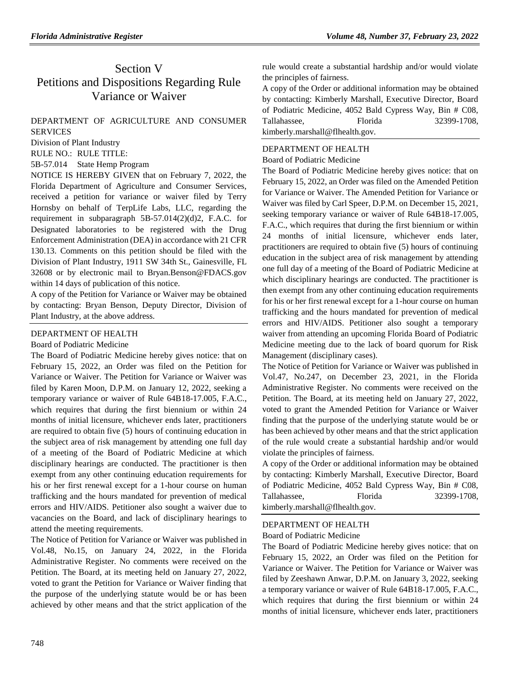# Section V Petitions and Dispositions Regarding Rule Variance or Waiver

## DEPARTMENT OF AGRICULTURE AND CONSUMER **[SERVICES](https://www.flrules.org/gateway/department.asp?id=5)**

[Division of Plant Industry](https://www.flrules.org/gateway/organization.asp?id=162)

RULE NO.: RULE TITLE:

[5B-57.014](https://www.flrules.org/gateway/ruleNo.asp?id=5B-57.014) State Hemp Program

NOTICE IS HEREBY GIVEN that on February 7, 2022, the Florida Department of Agriculture and Consumer Services, received a petition for variance or waiver filed by Terry Hornsby on behalf of TerpLife Labs, LLC, regarding the requirement in subparagraph 5B-57.014(2)(d)2, F.A.C. for Designated laboratories to be registered with the Drug Enforcement Administration (DEA) in accordance with 21 CFR 130.13. Comments on this petition should be filed with the Division of Plant Industry, 1911 SW 34th St., Gainesville, FL 32608 or by electronic mail to Bryan.Benson@FDACS.gov within 14 days of publication of this notice.

A copy of the Petition for Variance or Waiver may be obtained by contacting: Bryan Benson, Deputy Director, Division of Plant Industry, at the above address.

### [DEPARTMENT OF HEALTH](https://www.flrules.org/gateway/department.asp?id=64)

[Board of Podiatric Medicine](https://www.flrules.org/gateway/organization.asp?id=309)

The Board of Podiatric Medicine hereby gives notice: that on February 15, 2022, an Order was filed on the Petition for Variance or Waiver. The Petition for Variance or Waiver was filed by Karen Moon, D.P.M. on January 12, 2022, seeking a temporary variance or waiver of Rule 64B18-17.005, F.A.C., which requires that during the first biennium or within 24 months of initial licensure, whichever ends later, practitioners are required to obtain five (5) hours of continuing education in the subject area of risk management by attending one full day of a meeting of the Board of Podiatric Medicine at which disciplinary hearings are conducted. The practitioner is then exempt from any other continuing education requirements for his or her first renewal except for a 1-hour course on human trafficking and the hours mandated for prevention of medical errors and HIV/AIDS. Petitioner also sought a waiver due to vacancies on the Board, and lack of disciplinary hearings to attend the meeting requirements.

The Notice of Petition for Variance or Waiver was published in Vol.48, No.15, on January 24, 2022, in the Florida Administrative Register. No comments were received on the Petition. The Board, at its meeting held on January 27, 2022, voted to grant the Petition for Variance or Waiver finding that the purpose of the underlying statute would be or has been achieved by other means and that the strict application of the

rule would create a substantial hardship and/or would violate the principles of fairness.

A copy of the Order or additional information may be obtained by contacting: Kimberly Marshall, Executive Director, Board of Podiatric Medicine, 4052 Bald Cypress Way, Bin # C08, Tallahassee, Florida 32399-1708, kimberly.marshall@flhealth.gov.

### [DEPARTMENT OF HEALTH](https://www.flrules.org/gateway/department.asp?id=64)

#### [Board of Podiatric Medicine](https://www.flrules.org/gateway/organization.asp?id=309)

The Board of Podiatric Medicine hereby gives notice: that on February 15, 2022, an Order was filed on the Amended Petition for Variance or Waiver. The Amended Petition for Variance or Waiver was filed by Carl Speer, D.P.M. on December 15, 2021, seeking temporary variance or waiver of Rule 64B18-17.005, F.A.C., which requires that during the first biennium or within 24 months of initial licensure, whichever ends later, practitioners are required to obtain five (5) hours of continuing education in the subject area of risk management by attending one full day of a meeting of the Board of Podiatric Medicine at which disciplinary hearings are conducted. The practitioner is then exempt from any other continuing education requirements for his or her first renewal except for a 1-hour course on human trafficking and the hours mandated for prevention of medical errors and HIV/AIDS. Petitioner also sought a temporary waiver from attending an upcoming Florida Board of Podiatric Medicine meeting due to the lack of board quorum for Risk Management (disciplinary cases).

The Notice of Petition for Variance or Waiver was published in Vol.47, No.247, on December 23, 2021, in the Florida Administrative Register. No comments were received on the Petition. The Board, at its meeting held on January 27, 2022, voted to grant the Amended Petition for Variance or Waiver finding that the purpose of the underlying statute would be or has been achieved by other means and that the strict application of the rule would create a substantial hardship and/or would violate the principles of fairness.

A copy of the Order or additional information may be obtained by contacting: Kimberly Marshall, Executive Director, Board of Podiatric Medicine, 4052 Bald Cypress Way, Bin # C08, Tallahassee, Florida 32399-1708, kimberly.marshall@flhealth.gov.

### [DEPARTMENT OF HEALTH](https://www.flrules.org/gateway/department.asp?id=64)

[Board of Podiatric Medicine](https://www.flrules.org/gateway/organization.asp?id=309)

The Board of Podiatric Medicine hereby gives notice: that on February 15, 2022, an Order was filed on the Petition for Variance or Waiver. The Petition for Variance or Waiver was filed by Zeeshawn Anwar, D.P.M. on January 3, 2022, seeking a temporary variance or waiver of Rule 64B18-17.005, F.A.C., which requires that during the first biennium or within 24 months of initial licensure, whichever ends later, practitioners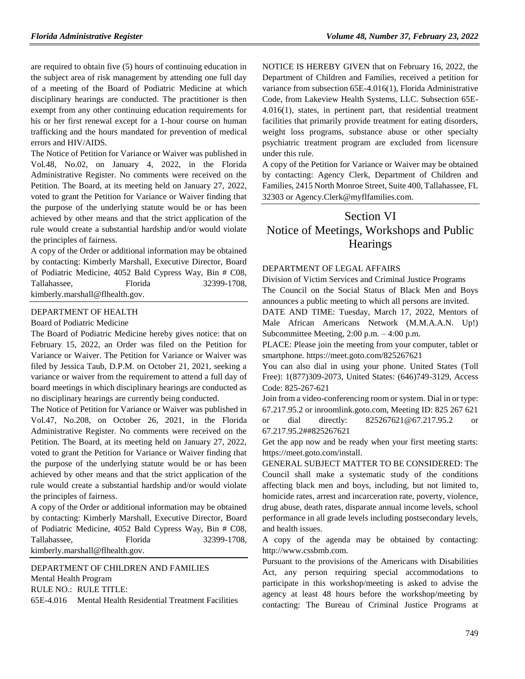are required to obtain five (5) hours of continuing education in the subject area of risk management by attending one full day of a meeting of the Board of Podiatric Medicine at which disciplinary hearings are conducted. The practitioner is then exempt from any other continuing education requirements for his or her first renewal except for a 1-hour course on human trafficking and the hours mandated for prevention of medical errors and HIV/AIDS.

The Notice of Petition for Variance or Waiver was published in Vol.48, No.02, on January 4, 2022, in the Florida Administrative Register. No comments were received on the Petition. The Board, at its meeting held on January 27, 2022, voted to grant the Petition for Variance or Waiver finding that the purpose of the underlying statute would be or has been achieved by other means and that the strict application of the rule would create a substantial hardship and/or would violate the principles of fairness.

A copy of the Order or additional information may be obtained by contacting: Kimberly Marshall, Executive Director, Board of Podiatric Medicine, 4052 Bald Cypress Way, Bin # C08, Tallahassee, Florida 32399-1708, kimberly.marshall@flhealth.gov.

#### [DEPARTMENT OF HEALTH](https://www.flrules.org/gateway/department.asp?id=64)

#### [Board of Podiatric Medicine](https://www.flrules.org/gateway/organization.asp?id=309)

The Board of Podiatric Medicine hereby gives notice: that on February 15, 2022, an Order was filed on the Petition for Variance or Waiver. The Petition for Variance or Waiver was filed by Jessica Taub, D.P.M. on October 21, 2021, seeking a variance or waiver from the requirement to attend a full day of board meetings in which disciplinary hearings are conducted as no disciplinary hearings are currently being conducted.

The Notice of Petition for Variance or Waiver was published in Vol.47, No.208, on October 26, 2021, in the Florida Administrative Register. No comments were received on the Petition. The Board, at its meeting held on January 27, 2022, voted to grant the Petition for Variance or Waiver finding that the purpose of the underlying statute would be or has been achieved by other means and that the strict application of the rule would create a substantial hardship and/or would violate the principles of fairness.

A copy of the Order or additional information may be obtained by contacting: Kimberly Marshall, Executive Director, Board of Podiatric Medicine, 4052 Bald Cypress Way, Bin # C08, Tallahassee, Florida 32399-1708, kimberly.marshall@flhealth.gov.

#### [DEPARTMENT OF CHILDREN AND FAMILIES](https://www.flrules.org/gateway/department.asp?id=65)

[Mental Health Program](https://www.flrules.org/gateway/organization.asp?id=344)

RULE NO.: RULE TITLE:

[65E-4.016](https://www.flrules.org/gateway/ruleNo.asp?id=65E-4.016) Mental Health Residential Treatment Facilities

NOTICE IS HEREBY GIVEN that on February 16, 2022, the Department of Children and Families, received a petition for variance from subsection 65E-4.016(1), Florida Administrative Code, from Lakeview Health Systems, LLC. Subsection 65E-4.016(1), states, in pertinent part, that residential treatment facilities that primarily provide treatment for eating disorders, weight loss programs, substance abuse or other specialty psychiatric treatment program are excluded from licensure under this rule.

A copy of the Petition for Variance or Waiver may be obtained by contacting: Agency Clerk, Department of Children and Families, 2415 North Monroe Street, Suite 400, Tallahassee, FL 32303 or Agency.Clerk@myflfamilies.com.

# Section VI Notice of Meetings, Workshops and Public **Hearings**

#### [DEPARTMENT OF LEGAL AFFAIRS](https://www.flrules.org/gateway/department.asp?id=2)

[Division of Victim Services and Criminal Justice Programs](https://www.flrules.org/gateway/department.asp?id=15) [The Council on the Social Status of Black Men and Boys](https://www.flrules.org/gateway/department.asp?id=15)  [announces a public meeting to which all persons are invited.](https://www.flrules.org/gateway/department.asp?id=15)

[DATE AND TIME: Tuesday, March 17, 2022, Mentors of](https://www.flrules.org/gateway/department.asp?id=15)  [Male African Americans Network \(M.M.A.A.N. Up!\)](https://www.flrules.org/gateway/department.asp?id=15)  [Subcommittee Meeting, 2:00 p.m. –](https://www.flrules.org/gateway/department.asp?id=15) 4:00 p.m.

[PLACE: Please join the meeting from your computer, tablet or](https://www.flrules.org/gateway/department.asp?id=15)  [smartphone. https://meet.goto.com/825267621](https://www.flrules.org/gateway/department.asp?id=15)

[You can also dial in using your phone. United States \(Toll](https://www.flrules.org/gateway/department.asp?id=15)  [Free\): 1\(877\)309-2073, United States: \(646\)749-3129, Access](https://www.flrules.org/gateway/department.asp?id=15)  [Code: 825-267-621](https://www.flrules.org/gateway/department.asp?id=15)

[Join from a video-conferencing room or system. Dial in or type:](https://www.flrules.org/gateway/department.asp?id=15)  [67.217.95.2 or inroomlink.goto.com, Meeting ID: 825 267 621](https://www.flrules.org/gateway/department.asp?id=15)  [or dial directly: 825267621@67.217.95.2 or](https://www.flrules.org/gateway/department.asp?id=15)  [67.217.95.2##825267621](https://www.flrules.org/gateway/department.asp?id=15)

[Get the app now and be ready when your first meeting starts:](https://www.flrules.org/gateway/department.asp?id=15)  [https://meet.goto.com/install.](https://www.flrules.org/gateway/department.asp?id=15)

[GENERAL SUBJECT MATTER TO BE CONSIDERED: The](https://www.flrules.org/gateway/department.asp?id=15)  [Council shall make a systematic study of the conditions](https://www.flrules.org/gateway/department.asp?id=15)  [affecting black men and boys, including, but not limited to,](https://www.flrules.org/gateway/department.asp?id=15)  [homicide rates, arrest and incarceration rate, poverty, violence,](https://www.flrules.org/gateway/department.asp?id=15)  [drug abuse, death rates, disparate annual income levels, school](https://www.flrules.org/gateway/department.asp?id=15)  [performance in all grade levels including postsecondary levels,](https://www.flrules.org/gateway/department.asp?id=15)  [and health issues.](https://www.flrules.org/gateway/department.asp?id=15)

[A copy of the agenda may be obtained by contacting:](https://www.flrules.org/gateway/department.asp?id=15)  [http://www.cssbmb.com.](https://www.flrules.org/gateway/department.asp?id=15)

[Pursuant to the provisions of the Americans with Disabilities](https://www.flrules.org/gateway/department.asp?id=15)  [Act, any person requiring special accommodations to](https://www.flrules.org/gateway/department.asp?id=15)  [participate in this workshop/meeting is asked to advise the](https://www.flrules.org/gateway/department.asp?id=15)  [agency at least 48 hours before the workshop/meeting by](https://www.flrules.org/gateway/department.asp?id=15)  [contacting: The Bureau of Criminal Justice Programs at](https://www.flrules.org/gateway/department.asp?id=15)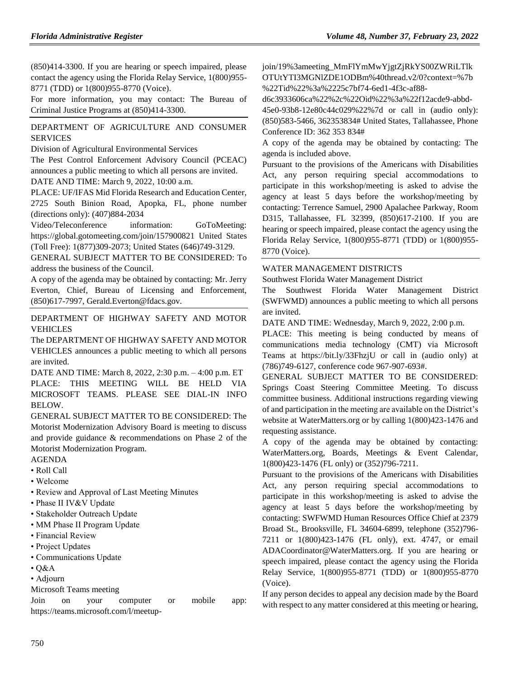[\(850\)414-3300. If you are hearing or speech impaired, please](https://www.flrules.org/gateway/department.asp?id=15)  [contact the agency using the Florida Relay Service, 1\(800\)955-](https://www.flrules.org/gateway/department.asp?id=15) [8771 \(TDD\) or 1\(800\)955-8770 \(Voice\).](https://www.flrules.org/gateway/department.asp?id=15)

[For more information, you may contact: The Bureau of](https://www.flrules.org/gateway/department.asp?id=15)  [Criminal Justice Programs at \(850\)414-3300.](https://www.flrules.org/gateway/department.asp?id=15)

### [DEPARTMENT OF AGRICULTURE AND CONSUMER](https://www.flrules.org/gateway/department.asp?id=15)  [SERVICES](https://www.flrules.org/gateway/department.asp?id=5)

[Division of Agricultural Environmental Services](https://www.flrules.org/gateway/organization.asp?id=165)

[The Pest Control Enforcement Advisory Council \(PCEAC\)](https://www.flrules.org/gateway/department.asp?id=15)  [announces a public meeting to which all persons are invited.](https://www.flrules.org/gateway/department.asp?id=15) [DATE AND TIME: March 9, 2022, 10:00 a.m.](https://www.flrules.org/gateway/department.asp?id=15)

[PLACE: UF/IFAS Mid Florida Research and Education Center,](https://www.flrules.org/gateway/department.asp?id=15)  [2725 South Binion Road, Apopka, FL, phone number](https://www.flrules.org/gateway/department.asp?id=15) 

[\(directions only\): \(407\)884-2034](https://www.flrules.org/gateway/department.asp?id=15) [Video/Teleconference information: GoToMeeting:](https://www.flrules.org/gateway/department.asp?id=15)  [https://global.gotomeeting.com/join/157900821 United States](https://www.flrules.org/gateway/department.asp?id=15)  [\(Toll Free\): 1\(877\)309-2073; United States \(646\)749-3129.](https://www.flrules.org/gateway/department.asp?id=15)

[GENERAL SUBJECT MATTER TO BE CONSIDERED: To](https://www.flrules.org/gateway/department.asp?id=15)  [address the business of the Council.](https://www.flrules.org/gateway/department.asp?id=15)

[A copy of the agenda may be obtained by contacting: Mr. Jerry](https://www.flrules.org/gateway/department.asp?id=15)  [Everton, Chief, Bureau of Licensing and Enforcement,](https://www.flrules.org/gateway/department.asp?id=15)  [\(850\)617-7997, Gerald.Everton@fdacs.gov.](https://www.flrules.org/gateway/department.asp?id=15)

[DEPARTMENT OF HIGHWAY SAFETY AND MOTOR](https://www.flrules.org/gateway/department.asp?id=15)  [VEHICLES](https://www.flrules.org/gateway/department.asp?id=15)

The DEPARTMENT OF HIGHWAY SAFETY AND MOTOR VEHICLES announces a public meeting to which all persons are invited.

DATE AND TIME: March 8, 2022, 2:30 p.m. – 4:00 p.m. ET PLACE: THIS MEETING WILL BE HELD VIA MICROSOFT TEAMS. PLEASE SEE DIAL-IN INFO BELOW.

GENERAL SUBJECT MATTER TO BE CONSIDERED: The Motorist Modernization Advisory Board is meeting to discuss and provide guidance & recommendations on Phase 2 of the Motorist Modernization Program.

### AGENDA

- Roll Call
- Welcome
- Review and Approval of Last Meeting Minutes
- Phase II IV&V Update
- Stakeholder Outreach Update
- MM Phase II Program Update
- Financial Review
- Project Updates
- Communications Update
- Q&A
- Adjourn
- Microsoft Teams meeting

Join on your computer or mobile app: https://teams.microsoft.com/l/meetupjoin/19%3ameeting\_MmFlYmMwYjgtZjRkYS00ZWRiLTlk OTUtYTI3MGNlZDE1ODBm%40thread.v2/0?context=%7b %22Tid%22%3a%2225c7bf74-6ed1-4f3c-af88-

d6c3933606ca%22%2c%22Oid%22%3a%22f12acde9-abbd-

45e0-93b8-12e80c44c029%22%7d or call in (audio only): (850)583-5466, 362353834# United States, Tallahassee, Phone Conference ID: 362 353 834#

A copy of the agenda may be obtained by contacting: The agenda is included above.

Pursuant to the provisions of the Americans with Disabilities Act, any person requiring special accommodations to participate in this workshop/meeting is asked to advise the agency at least 5 days before the workshop/meeting by contacting: Terrence Samuel, 2900 Apalachee Parkway, Room D315, Tallahassee, FL 32399, (850)617-2100. If you are hearing or speech impaired, please contact the agency using the Florida Relay Service, 1(800)955-8771 (TDD) or 1(800)955- 8770 (Voice).

### [WATER MANAGEMENT DISTRICTS](https://www.flrules.org/gateway/department.asp?id=40)

[Southwest Florida Water Management District](https://www.flrules.org/gateway/organization.asp?id=123)

The Southwest Florida Water Management District (SWFWMD) announces a public meeting to which all persons are invited.

DATE AND TIME: Wednesday, March 9, 2022, 2:00 p.m.

PLACE: This meeting is being conducted by means of communications media technology (CMT) via Microsoft Teams at https://bit.ly/33FhzjU or call in (audio only) at (786)749-6127, conference code 967-907-693#.

GENERAL SUBJECT MATTER TO BE CONSIDERED: Springs Coast Steering Committee Meeting. To discuss committee business. Additional instructions regarding viewing of and participation in the meeting are available on the District's website at WaterMatters.org or by calling 1(800)423-1476 and requesting assistance.

A copy of the agenda may be obtained by contacting: WaterMatters.org, Boards, Meetings & Event Calendar, 1(800)423-1476 (FL only) or (352)796-7211.

Pursuant to the provisions of the Americans with Disabilities Act, any person requiring special accommodations to participate in this workshop/meeting is asked to advise the agency at least 5 days before the workshop/meeting by contacting: SWFWMD Human Resources Office Chief at 2379 Broad St., Brooksville, FL 34604-6899, telephone (352)796- 7211 or 1(800)423-1476 (FL only), ext. 4747, or email ADACoordinator@WaterMatters.org. If you are hearing or speech impaired, please contact the agency using the Florida Relay Service, 1(800)955-8771 (TDD) or 1(800)955-8770 (Voice).

If any person decides to appeal any decision made by the Board with respect to any matter considered at this meeting or hearing,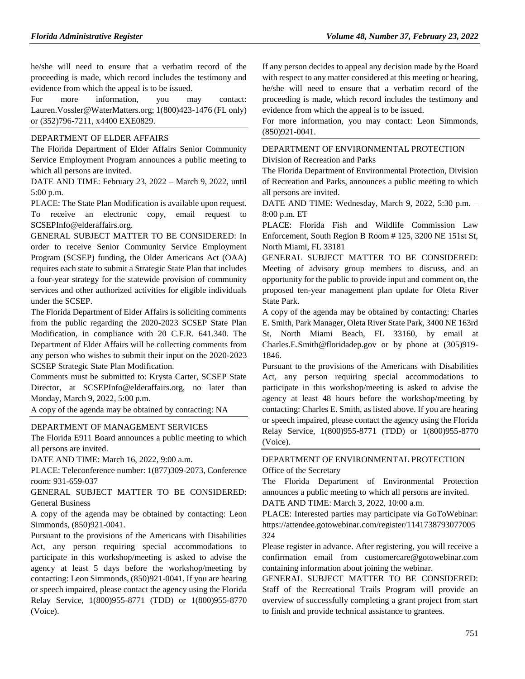he/she will need to ensure that a verbatim record of the proceeding is made, which record includes the testimony and evidence from which the appeal is to be issued.

For more information, you may contact: Lauren.Vossler@WaterMatters.org; 1(800)423-1476 (FL only) or (352)796-7211, x4400 EXE0829.

#### [DEPARTMENT OF ELDER AFFAIRS](https://www.flrules.org/gateway/department.asp?id=58)

The Florida Department of Elder Affairs Senior Community Service Employment Program announces a public meeting to which all persons are invited.

DATE AND TIME: February 23, 2022 – March 9, 2022, until 5:00 p.m.

PLACE: The State Plan Modification is available upon request. To receive an electronic copy, email request to SCSEPInfo@elderaffairs.org.

GENERAL SUBJECT MATTER TO BE CONSIDERED: In order to receive Senior Community Service Employment Program (SCSEP) funding, the Older Americans Act (OAA) requires each state to submit a Strategic State Plan that includes a four-year strategy for the statewide provision of community services and other authorized activities for eligible individuals under the SCSEP.

The Florida Department of Elder Affairs is soliciting comments from the public regarding the 2020-2023 SCSEP State Plan Modification, in compliance with 20 C.F.R. 641.340. The Department of Elder Affairs will be collecting comments from any person who wishes to submit their input on the 2020-2023 SCSEP Strategic State Plan Modification.

Comments must be submitted to: Krysta Carter, SCSEP State Director, at SCSEPInfo@elderaffairs.org, no later than Monday, March 9, 2022, 5:00 p.m.

A copy of the agenda may be obtained by contacting: NA

#### [DEPARTMENT OF MANAGEMENT SERVICES](https://www.flrules.org/gateway/department.asp?id=60)

The Florida E911 Board announces a public meeting to which all persons are invited.

DATE AND TIME: March 16, 2022, 9:00 a.m.

PLACE: Teleconference number: 1(877)309-2073, Conference room: 931-659-037

GENERAL SUBJECT MATTER TO BE CONSIDERED: General Business

A copy of the agenda may be obtained by contacting: Leon Simmonds, (850)921-0041.

Pursuant to the provisions of the Americans with Disabilities Act, any person requiring special accommodations to participate in this workshop/meeting is asked to advise the agency at least 5 days before the workshop/meeting by contacting: Leon Simmonds, (850)921-0041. If you are hearing or speech impaired, please contact the agency using the Florida Relay Service, 1(800)955-8771 (TDD) or 1(800)955-8770 (Voice).

If any person decides to appeal any decision made by the Board with respect to any matter considered at this meeting or hearing, he/she will need to ensure that a verbatim record of the proceeding is made, which record includes the testimony and evidence from which the appeal is to be issued.

For more information, you may contact: Leon Simmonds, (850)921-0041.

#### [DEPARTMENT OF ENVIRONMENTAL PROTECTION](https://www.flrules.org/gateway/department.asp?id=62) [Division of Recreation and Parks](https://www.flrules.org/gateway/organization.asp?id=290)

The Florida Department of Environmental Protection, Division of Recreation and Parks, announces a public meeting to which all persons are invited.

DATE AND TIME: Wednesday, March 9, 2022, 5:30 p.m. – 8:00 p.m. ET

PLACE: Florida Fish and Wildlife Commission Law Enforcement, South Region B Room # 125, 3200 NE 151st St, North Miami, FL 33181

GENERAL SUBJECT MATTER TO BE CONSIDERED: Meeting of advisory group members to discuss, and an opportunity for the public to provide input and comment on, the proposed ten-year management plan update for Oleta River State Park.

A copy of the agenda may be obtained by contacting: Charles E. Smith, Park Manager, Oleta River State Park, 3400 NE 163rd St, North Miami Beach, FL 33160, by email at Charles.E.Smith@floridadep.gov or by phone at (305)919- 1846.

Pursuant to the provisions of the Americans with Disabilities Act, any person requiring special accommodations to participate in this workshop/meeting is asked to advise the agency at least 48 hours before the workshop/meeting by contacting: Charles E. Smith, as listed above. If you are hearing or speech impaired, please contact the agency using the Florida Relay Service, 1(800)955-8771 (TDD) or 1(800)955-8770 (Voice).

### [DEPARTMENT OF ENVIRONMENTAL PROTECTION](https://www.flrules.org/gateway/department.asp?id=62) [Office of the Secretary](https://www.flrules.org/gateway/organization.asp?id=294)

The Florida Department of Environmental Protection announces a public meeting to which all persons are invited. DATE AND TIME: March 3, 2022, 10:00 a.m.

PLACE: Interested parties may participate via GoToWebinar: https://attendee.gotowebinar.com/register/1141738793077005 324

Please register in advance. After registering, you will receive a confirmation email from customercare@gotowebinar.com containing information about joining the webinar.

GENERAL SUBJECT MATTER TO BE CONSIDERED: Staff of the Recreational Trails Program will provide an overview of successfully completing a grant project from start to finish and provide technical assistance to grantees.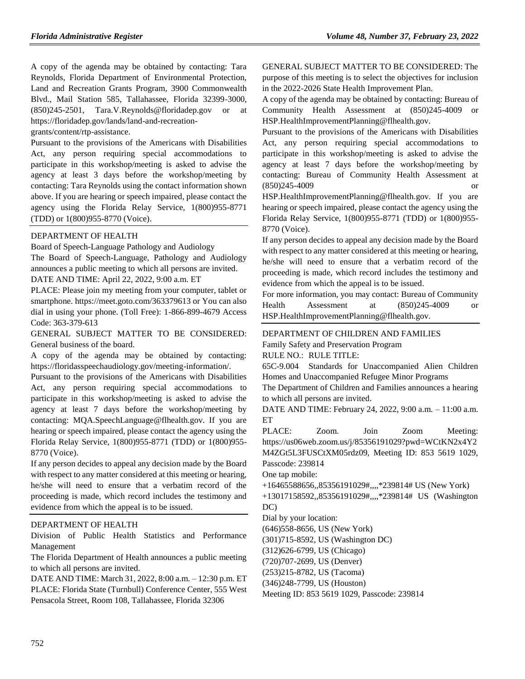A copy of the agenda may be obtained by contacting: Tara Reynolds, Florida Department of Environmental Protection, Land and Recreation Grants Program, 3900 Commonwealth Blvd., Mail Station 585, Tallahassee, Florida 32399-3000, (850)245-2501, Tara.V.Reynolds@floridadep.gov or at https://floridadep.gov/lands/land-and-recreation-

grants/content/rtp-assistance.

Pursuant to the provisions of the Americans with Disabilities Act, any person requiring special accommodations to participate in this workshop/meeting is asked to advise the agency at least 3 days before the workshop/meeting by contacting: Tara Reynolds using the contact information shown above. If you are hearing or speech impaired, please contact the agency using the Florida Relay Service, 1(800)955-8771 (TDD) or 1(800)955-8770 (Voice).

### [DEPARTMENT OF HEALTH](https://www.flrules.org/gateway/department.asp?id=64)

[Board of Speech-Language Pathology and Audiology](https://www.flrules.org/gateway/organization.asp?id=312)

The Board of Speech-Language, Pathology and Audiology announces a public meeting to which all persons are invited. DATE AND TIME: April 22, 2022, 9:00 a.m. ET

PLACE: Please join my meeting from your computer, tablet or smartphone. https://meet.goto.com/363379613 or You can also dial in using your phone. (Toll Free): 1-866-899-4679 Access Code: 363-379-613

GENERAL SUBJECT MATTER TO BE CONSIDERED: General business of the board.

A copy of the agenda may be obtained by contacting: https://floridasspeechaudiology.gov/meeting-information/.

Pursuant to the provisions of the Americans with Disabilities Act, any person requiring special accommodations to participate in this workshop/meeting is asked to advise the agency at least 7 days before the workshop/meeting by contacting: MQA.SpeechLanguage@flhealth.gov. If you are hearing or speech impaired, please contact the agency using the Florida Relay Service, 1(800)955-8771 (TDD) or 1(800)955- 8770 (Voice).

If any person decides to appeal any decision made by the Board with respect to any matter considered at this meeting or hearing, he/she will need to ensure that a verbatim record of the proceeding is made, which record includes the testimony and evidence from which the appeal is to be issued.

#### [DEPARTMENT OF HEALTH](https://www.flrules.org/gateway/department.asp?id=64)

[Division of Public Health Statistics and Performance](https://www.flrules.org/gateway/organization.asp?id=1152)  [Management](https://www.flrules.org/gateway/organization.asp?id=1152)

The Florida Department of Health announces a public meeting to which all persons are invited.

DATE AND TIME: March 31, 2022, 8:00 a.m. – 12:30 p.m. ET PLACE: Florida State (Turnbull) Conference Center, 555 West Pensacola Street, Room 108, Tallahassee, Florida 32306

GENERAL SUBJECT MATTER TO BE CONSIDERED: The purpose of this meeting is to select the objectives for inclusion in the 2022-2026 State Health Improvement Plan.

A copy of the agenda may be obtained by contacting: Bureau of Community Health Assessment at (850)245-4009 or HSP.HealthImprovementPlanning@flhealth.gov.

Pursuant to the provisions of the Americans with Disabilities Act, any person requiring special accommodations to participate in this workshop/meeting is asked to advise the agency at least 7 days before the workshop/meeting by contacting: Bureau of Community Health Assessment at (850)245-4009 or

HSP.HealthImprovementPlanning@flhealth.gov. If you are hearing or speech impaired, please contact the agency using the Florida Relay Service, 1(800)955-8771 (TDD) or 1(800)955- 8770 (Voice).

If any person decides to appeal any decision made by the Board with respect to any matter considered at this meeting or hearing, he/she will need to ensure that a verbatim record of the proceeding is made, which record includes the testimony and evidence from which the appeal is to be issued.

For more information, you may contact: Bureau of Community Health Assessment at (850)245-4009 or HSP.HealthImprovementPlanning@flhealth.gov.

#### [DEPARTMENT OF CHILDREN AND FAMILIES](https://www.flrules.org/gateway/department.asp?id=65)

[Family Safety and Preservation Program](https://www.flrules.org/gateway/organization.asp?id=342)

RULE NO.: RULE TITLE:

[65C-9.004](https://www.flrules.org/gateway/ruleNo.asp?id=65C-9.004) Standards for Unaccompanied Alien Children Homes and Unaccompanied Refugee Minor Programs

The Department of Children and Families announces a hearing to which all persons are invited.

DATE AND TIME: February 24, 2022, 9:00 a.m. – 11:00 a.m. ET

PLACE: Zoom. Join Zoom Meeting: https://us06web.zoom.us/j/85356191029?pwd=WCtKN2x4Y2 M4ZGt5L3FUSCtXM05rdz09, Meeting ID: 853 5619 1029, Passcode: 239814

One tap mobile:

+16465588656,,85356191029#,,,,\*239814# US (New York)

+13017158592,,85356191029#,,,,\*239814# US (Washington DC)

Dial by your location:

(646)558-8656, US (New York)

(301)715-8592, US (Washington DC)

(312)626-6799, US (Chicago)

(720)707-2699, US (Denver)

(253)215-8782, US (Tacoma)

(346)248-7799, US (Houston)

Meeting ID: 853 5619 1029, Passcode: 239814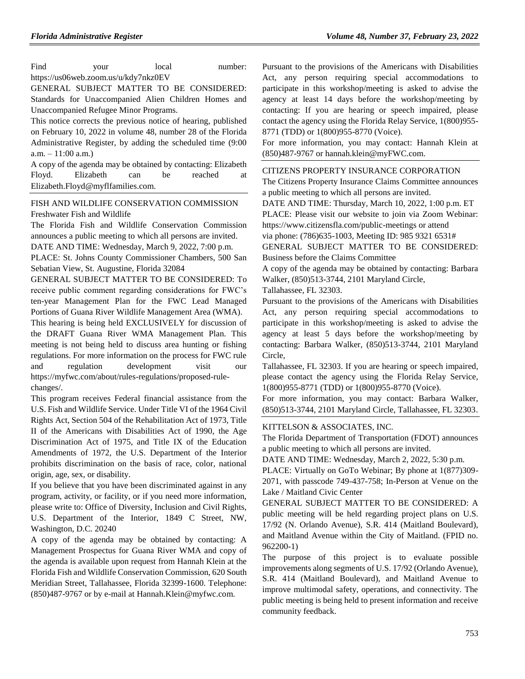Find your local number: https://us06web.zoom.us/u/kdy7nkz0EV

GENERAL SUBJECT MATTER TO BE CONSIDERED: Standards for Unaccompanied Alien Children Homes and Unaccompanied Refugee Minor Programs.

This notice corrects the previous notice of hearing, published on February 10, 2022 in volume 48, number 28 of the Florida Administrative Register, by adding the scheduled time (9:00  $a.m. - 11:00 a.m.$ 

A copy of the agenda may be obtained by contacting: Elizabeth Floyd. Elizabeth can be reached at Elizabeth.Floyd@myflfamilies.com.

[FISH AND WILDLIFE CONSERVATION COMMISSION](https://www.flrules.org/gateway/department.asp?id=68) [Freshwater Fish and Wildlife](https://www.flrules.org/gateway/organization.asp?id=347)

The Florida Fish and Wildlife Conservation Commission announces a public meeting to which all persons are invited.

DATE AND TIME: Wednesday, March 9, 2022, 7:00 p.m.

PLACE: St. Johns County Commissioner Chambers, 500 San Sebatian View, St. Augustine, Florida 32084

GENERAL SUBJECT MATTER TO BE CONSIDERED: To receive public comment regarding considerations for FWC's ten-year Management Plan for the FWC Lead Managed Portions of Guana River Wildlife Management Area (WMA).

This hearing is being held EXCLUSIVELY for discussion of the DRAFT Guana River WMA Management Plan. This meeting is not being held to discuss area hunting or fishing regulations. For more information on the process for FWC rule and regulation development visit our https://myfwc.com/about/rules-regulations/proposed-rulechanges/.

This program receives Federal financial assistance from the U.S. Fish and Wildlife Service. Under Title VI of the 1964 Civil Rights Act, Section 504 of the Rehabilitation Act of 1973, Title II of the Americans with Disabilities Act of 1990, the Age Discrimination Act of 1975, and Title IX of the Education Amendments of 1972, the U.S. Department of the Interior prohibits discrimination on the basis of race, color, national origin, age, sex, or disability.

If you believe that you have been discriminated against in any program, activity, or facility, or if you need more information, please write to: Office of Diversity, Inclusion and Civil Rights, U.S. Department of the Interior, 1849 C Street, NW, Washington, D.C. 20240

A copy of the agenda may be obtained by contacting: A Management Prospectus for Guana River WMA and copy of the agenda is available upon request from Hannah Klein at the Florida Fish and Wildlife Conservation Commission, 620 South Meridian Street, Tallahassee, Florida 32399-1600. Telephone: (850)487-9767 or by e-mail at Hannah.Klein@myfwc.com.

Pursuant to the provisions of the Americans with Disabilities Act, any person requiring special accommodations to participate in this workshop/meeting is asked to advise the agency at least 14 days before the workshop/meeting by contacting: If you are hearing or speech impaired, please contact the agency using the Florida Relay Service, 1(800)955- 8771 (TDD) or 1(800)955-8770 (Voice).

For more information, you may contact: Hannah Klein at (850)487-9767 or hannah.klein@myFWC.com.

### [CITIZENS PROPERTY INSURANCE CORPORATION](https://www.flrules.org/gateway/organization.asp?id=591)

The Citizens Property Insurance Claims Committee announces a public meeting to which all persons are invited.

DATE AND TIME: Thursday, March 10, 2022, 1:00 p.m. ET PLACE: Please visit our website to join via Zoom Webinar: https://www.citizensfla.com/public-meetings or attend

via phone: (786)635-1003, Meeting ID: 985 9321 6531# GENERAL SUBJECT MATTER TO BE CONSIDERED:

Business before the Claims Committee

A copy of the agenda may be obtained by contacting: Barbara Walker, (850)513-3744, 2101 Maryland Circle,

Tallahassee, FL 32303.

Pursuant to the provisions of the Americans with Disabilities Act, any person requiring special accommodations to participate in this workshop/meeting is asked to advise the agency at least 5 days before the workshop/meeting by contacting: Barbara Walker, (850)513-3744, 2101 Maryland Circle,

Tallahassee, FL 32303. If you are hearing or speech impaired, please contact the agency using the Florida Relay Service, 1(800)955-8771 (TDD) or 1(800)955-8770 (Voice).

For more information, you may contact: Barbara Walker, (850)513-3744, 2101 Maryland Circle, Tallahassee, FL 32303.

#### [KITTELSON & ASSOCIATES, INC.](https://www.flrules.org/gateway/organization.asp?id=1009)

The Florida Department of Transportation (FDOT) announces a public meeting to which all persons are invited.

DATE AND TIME: Wednesday, March 2, 2022, 5:30 p.m.

PLACE: Virtually on GoTo Webinar; By phone at 1(877)309- 2071, with passcode 749-437-758; In-Person at Venue on the Lake / Maitland Civic Center

GENERAL SUBJECT MATTER TO BE CONSIDERED: A public meeting will be held regarding project plans on U.S. 17/92 (N. Orlando Avenue), S.R. 414 (Maitland Boulevard), and Maitland Avenue within the City of Maitland. (FPID no. 962200-1)

The purpose of this project is to evaluate possible improvements along segments of U.S. 17/92 (Orlando Avenue), S.R. 414 (Maitland Boulevard), and Maitland Avenue to improve multimodal safety, operations, and connectivity. The public meeting is being held to present information and receive community feedback.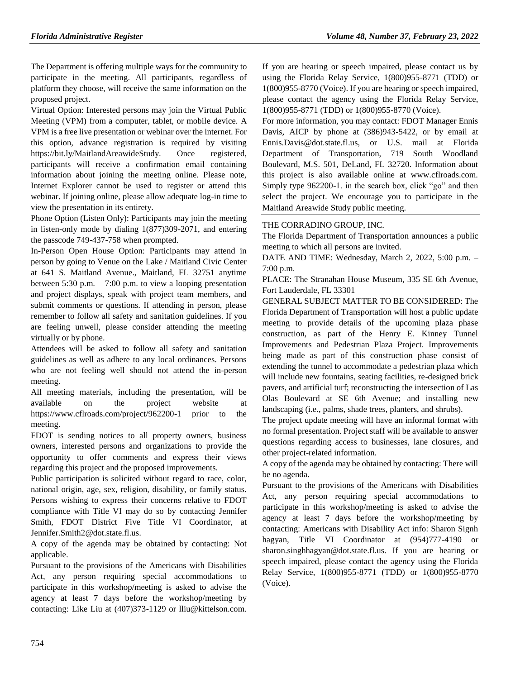The Department is offering multiple ways for the community to participate in the meeting. All participants, regardless of platform they choose, will receive the same information on the proposed project.

Virtual Option: Interested persons may join the Virtual Public Meeting (VPM) from a computer, tablet, or mobile device. A VPM is a free live presentation or webinar over the internet. For this option, advance registration is required by visiting https://bit.ly/MaitlandAreawideStudy. Once registered, participants will receive a confirmation email containing information about joining the meeting online. Please note, Internet Explorer cannot be used to register or attend this webinar. If joining online, please allow adequate log-in time to view the presentation in its entirety.

Phone Option (Listen Only): Participants may join the meeting in listen-only mode by dialing 1(877)309-2071, and entering the passcode 749-437-758 when prompted.

In-Person Open House Option: Participants may attend in person by going to Venue on the Lake / Maitland Civic Center at 641 S. Maitland Avenue., Maitland, FL 32751 anytime between 5:30 p.m. – 7:00 p.m. to view a looping presentation and project displays, speak with project team members, and submit comments or questions. If attending in person, please remember to follow all safety and sanitation guidelines. If you are feeling unwell, please consider attending the meeting virtually or by phone.

Attendees will be asked to follow all safety and sanitation guidelines as well as adhere to any local ordinances. Persons who are not feeling well should not attend the in-person meeting.

All meeting materials, including the presentation, will be available on the project website at https://www.cflroads.com/project/962200-1 prior to the meeting.

FDOT is sending notices to all property owners, business owners, interested persons and organizations to provide the opportunity to offer comments and express their views regarding this project and the proposed improvements.

Public participation is solicited without regard to race, color, national origin, age, sex, religion, disability, or family status. Persons wishing to express their concerns relative to FDOT compliance with Title VI may do so by contacting Jennifer Smith, FDOT District Five Title VI Coordinator, at Jennifer.Smith2@dot.state.fl.us.

A copy of the agenda may be obtained by contacting: Not applicable.

Pursuant to the provisions of the Americans with Disabilities Act, any person requiring special accommodations to participate in this workshop/meeting is asked to advise the agency at least 7 days before the workshop/meeting by contacting: Like Liu at (407)373-1129 or lliu@kittelson.com. If you are hearing or speech impaired, please contact us by using the Florida Relay Service, 1(800)955-8771 (TDD) or 1(800)955-8770 (Voice). If you are hearing or speech impaired, please contact the agency using the Florida Relay Service, 1(800)955-8771 (TDD) or 1(800)955-8770 (Voice).

For more information, you may contact: FDOT Manager Ennis Davis, AICP by phone at (386)943-5422, or by email at Ennis.Davis@dot.state.fl.us, or U.S. mail at Florida Department of Transportation, 719 South Woodland Boulevard, M.S. 501, DeLand, FL 32720. Information about this project is also available online at www.cflroads.com. Simply type 962200-1. in the search box, click "go" and then select the project. We encourage you to participate in the Maitland Areawide Study public meeting.

### [THE CORRADINO GROUP, INC.](https://www.flrules.org/gateway/organization.asp?id=1048)

The Florida Department of Transportation announces a public meeting to which all persons are invited.

DATE AND TIME: Wednesday, March 2, 2022, 5:00 p.m. – 7:00 p.m.

PLACE: The Stranahan House Museum, 335 SE 6th Avenue, Fort Lauderdale, FL 33301

GENERAL SUBJECT MATTER TO BE CONSIDERED: The Florida Department of Transportation will host a public update meeting to provide details of the upcoming plaza phase construction, as part of the Henry E. Kinney Tunnel Improvements and Pedestrian Plaza Project. Improvements being made as part of this construction phase consist of extending the tunnel to accommodate a pedestrian plaza which will include new fountains, seating facilities, re-designed brick pavers, and artificial turf; reconstructing the intersection of Las Olas Boulevard at SE 6th Avenue; and installing new landscaping (i.e., palms, shade trees, planters, and shrubs).

The project update meeting will have an informal format with no formal presentation. Project staff will be available to answer questions regarding access to businesses, lane closures, and other project-related information.

A copy of the agenda may be obtained by contacting: There will be no agenda.

Pursuant to the provisions of the Americans with Disabilities Act, any person requiring special accommodations to participate in this workshop/meeting is asked to advise the agency at least 7 days before the workshop/meeting by contacting: Americans with Disability Act info: Sharon Signh hagyan, Title VI Coordinator at (954)777-4190 or sharon.singhhagyan@dot.state.fl.us. If you are hearing or speech impaired, please contact the agency using the Florida Relay Service, 1(800)955-8771 (TDD) or 1(800)955-8770 (Voice).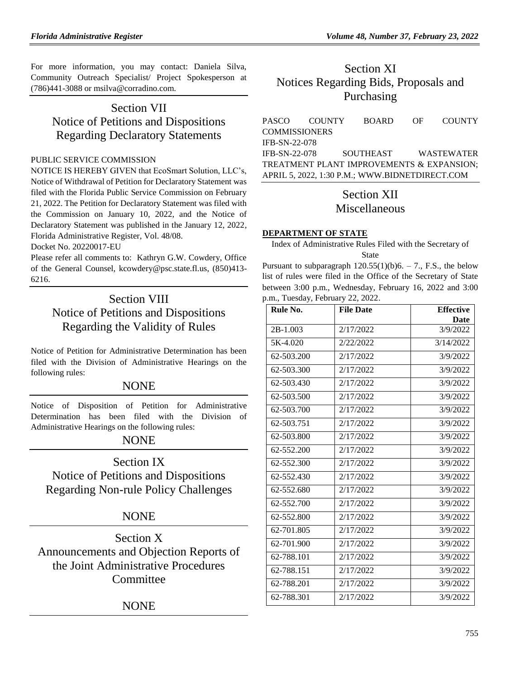For more information, you may contact: Daniela Silva, Community Outreach Specialist/ Project Spokesperson at (786)441-3088 or msilva@corradino.com.

# Section VII Notice of Petitions and Dispositions Regarding Declaratory Statements

### [PUBLIC SERVICE COMMISSION](https://www.flrules.org/gateway/department.asp?id=25)

NOTICE IS HEREBY GIVEN that EcoSmart Solution, LLC's, Notice of Withdrawal of Petition for Declaratory Statement was filed with the Florida Public Service Commission on February 21, 2022. The Petition for Declaratory Statement was filed with the Commission on January 10, 2022, and the Notice of Declaratory Statement was published in the January 12, 2022, Florida Administrative Register, Vol. 48/08.

Docket No. 20220017-EU

Please refer all comments to: Kathryn G.W. Cowdery, Office of the General Counsel, [kcowdery@psc.state.fl.us,](mailto:kcowdery@psc.state.fl.us) (850)413- 6216.

# Section VIII Notice of Petitions and Dispositions Regarding the Validity of Rules

Notice of Petition for Administrative Determination has been filed with the Division of Administrative Hearings on the following rules:

## **NONE**

Notice of Disposition of Petition for Administrative Determination has been filed with the Division of Administrative Hearings on the following rules:

## **NONE**

Section IX Notice of Petitions and Dispositions Regarding Non-rule Policy Challenges

## **NONE**

Section X Announcements and Objection Reports of the Joint Administrative Procedures **Committee** 

## NONE

# Section XI Notices Regarding Bids, Proposals and Purchasing

[PASCO COUNTY BOARD OF COUNTY](https://www.flrules.org/gateway/organization.asp?id=1352)  **[COMMISSIONERS](https://www.flrules.org/gateway/organization.asp?id=1352)** IFB-SN-22-078 IFB-SN-22-078 SOUTHEAST WASTEWATER TREATMENT PLANT IMPROVEMENTS & EXPANSION; APRIL 5, 2022, 1:30 P.M.; [WWW.BIDNETDIRECT.COM](http://www.bidnetdirect.com/)

# Section XII Miscellaneous

## **[DEPARTMENT OF STATE](https://www.flrules.org/gateway/department.asp?id=1)**

Index of Administrative Rules Filed with the Secretary of State

Pursuant to subparagraph  $120.55(1)(b)6. - 7$ ., F.S., the below list of rules were filed in the Office of the Secretary of State between 3:00 p.m., Wednesday, February 16, 2022 and 3:00 p.m., Tuesday, February 22, 2022.

| Rule No.   | <b>File Date</b> | <b>Effective</b> |
|------------|------------------|------------------|
|            |                  | Date             |
| $2B-1.003$ | 2/17/2022        | 3/9/2022         |
| 5K-4.020   | 2/22/2022        | 3/14/2022        |
| 62-503.200 | 2/17/2022        | 3/9/2022         |
| 62-503.300 | 2/17/2022        | 3/9/2022         |
| 62-503.430 | 2/17/2022        | 3/9/2022         |
| 62-503.500 | 2/17/2022        | 3/9/2022         |
| 62-503.700 | 2/17/2022        | 3/9/2022         |
| 62-503.751 | 2/17/2022        | 3/9/2022         |
| 62-503.800 | 2/17/2022        | 3/9/2022         |
| 62-552.200 | 2/17/2022        | 3/9/2022         |
| 62-552.300 | 2/17/2022        | 3/9/2022         |
| 62-552.430 | 2/17/2022        | 3/9/2022         |
| 62-552.680 | 2/17/2022        | 3/9/2022         |
| 62-552.700 | 2/17/2022        | 3/9/2022         |
| 62-552.800 | 2/17/2022        | 3/9/2022         |
| 62-701.805 | 2/17/2022        | 3/9/2022         |
| 62-701.900 | 2/17/2022        | 3/9/2022         |
| 62-788.101 | 2/17/2022        | 3/9/2022         |
| 62-788.151 | 2/17/2022        | 3/9/2022         |
| 62-788.201 | 2/17/2022        | 3/9/2022         |
| 62-788.301 | 2/17/2022        | 3/9/2022         |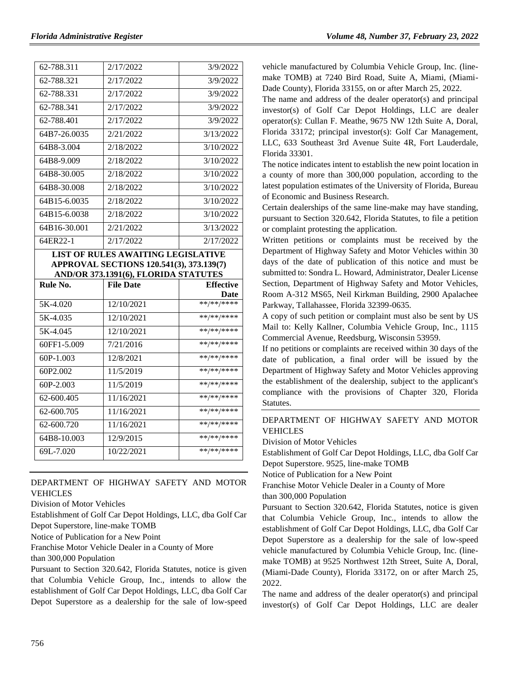| 62-788.311   | 2/17/2022                                                                                                                     | 3/9/2022                      |
|--------------|-------------------------------------------------------------------------------------------------------------------------------|-------------------------------|
| 62-788.321   | 2/17/2022                                                                                                                     | 3/9/2022                      |
| 62-788.331   | 2/17/2022                                                                                                                     | 3/9/2022                      |
| 62-788.341   | 2/17/2022                                                                                                                     | 3/9/2022                      |
| 62-788.401   | 2/17/2022                                                                                                                     | 3/9/2022                      |
| 64B7-26.0035 | 2/21/2022                                                                                                                     | 3/13/2022                     |
| 64B8-3.004   | 2/18/2022                                                                                                                     | 3/10/2022                     |
| 64B8-9.009   | 2/18/2022                                                                                                                     | 3/10/2022                     |
| 64B8-30.005  | 2/18/2022                                                                                                                     | 3/10/2022                     |
| 64B8-30.008  | 2/18/2022                                                                                                                     | 3/10/2022                     |
| 64B15-6.0035 | 2/18/2022                                                                                                                     | 3/10/2022                     |
| 64B15-6.0038 | 2/18/2022                                                                                                                     | 3/10/2022                     |
| 64B16-30.001 | 2/21/2022                                                                                                                     | 3/13/2022                     |
| 64ER22-1     | 2/17/2022                                                                                                                     | 2/17/2022                     |
|              |                                                                                                                               |                               |
|              | <b>LIST OF RULES AWAITING LEGISLATIVE</b><br>APPROVAL SECTIONS 120.541(3), 373.139(7)<br>AND/OR 373.1391(6), FLORIDA STATUTES |                               |
| Rule No.     | <b>File Date</b>                                                                                                              | <b>Effective</b>              |
| 5K-4.020     | 12/10/2021                                                                                                                    | Date<br>**/**/****            |
| 5K-4.035     | 12/10/2021                                                                                                                    | **/**/****                    |
| 5K-4.045     | 12/10/2021                                                                                                                    | **/**/****                    |
| 60FF1-5.009  | 7/21/2016                                                                                                                     | **/**/****                    |
| 60P-1.003    | 12/8/2021                                                                                                                     | **/**/****                    |
| 60P2.002     | 11/5/2019                                                                                                                     | **/**/****                    |
| 60P-2.003    | 11/5/2019                                                                                                                     | **/**/****                    |
| 62-600.405   | 11/16/2021                                                                                                                    | **/**/****                    |
| 62-600.705   | 11/16/2021                                                                                                                    | **/**/****                    |
| 62-600.720   | 11/16/2021                                                                                                                    | **/**/****                    |
| 64B8-10.003  | 12/9/2015                                                                                                                     | $***$ /** /****<br>**/**/**** |

## [DEPARTMENT OF HIGHWAY SAFETY AND MOTOR](https://www.flrules.org/gateway/department.asp?id=15)  [VEHICLES](https://www.flrules.org/gateway/department.asp?id=15)

[Division of Motor Vehicles](https://www.flrules.org/gateway/organization.asp?id=42)

Establishment of Golf Car Depot Holdings, LLC, dba Golf Car Depot Superstore, line-make TOMB

Notice of Publication for a New Point

Franchise Motor Vehicle Dealer in a County of More

than 300,000 Population

Pursuant to Section 320.642, Florida Statutes, notice is given that Columbia Vehicle Group, Inc., intends to allow the establishment of Golf Car Depot Holdings, LLC, dba Golf Car Depot Superstore as a dealership for the sale of low-speed vehicle manufactured by Columbia Vehicle Group, Inc. (linemake TOMB) at 7240 Bird Road, Suite A, Miami, (Miami-Dade County), Florida 33155, on or after March 25, 2022.

The name and address of the dealer operator(s) and principal investor(s) of Golf Car Depot Holdings, LLC are dealer operator(s): Cullan F. Meathe, 9675 NW 12th Suite A, Doral, Florida 33172; principal investor(s): Golf Car Management, LLC, 633 Southeast 3rd Avenue Suite 4R, Fort Lauderdale, Florida 33301.

The notice indicates intent to establish the new point location in a county of more than 300,000 population, according to the latest population estimates of the University of Florida, Bureau of Economic and Business Research.

Certain dealerships of the same line-make may have standing, pursuant to Section 320.642, Florida Statutes, to file a petition or complaint protesting the application.

Written petitions or complaints must be received by the Department of Highway Safety and Motor Vehicles within 30 days of the date of publication of this notice and must be submitted to: Sondra L. Howard, Administrator, Dealer License Section, Department of Highway Safety and Motor Vehicles, Room A-312 MS65, Neil Kirkman Building, 2900 Apalachee Parkway, Tallahassee, Florida 32399-0635.

A copy of such petition or complaint must also be sent by US Mail to: Kelly Kallner, Columbia Vehicle Group, Inc., 1115 Commercial Avenue, Reedsburg, Wisconsin 53959.

If no petitions or complaints are received within 30 days of the date of publication, a final order will be issued by the Department of Highway Safety and Motor Vehicles approving the establishment of the dealership, subject to the applicant's compliance with the provisions of Chapter 320, Florida Statutes.

### [DEPARTMENT OF HIGHWAY SAFETY AND MOTOR](https://www.flrules.org/gateway/department.asp?id=15)  [VEHICLES](https://www.flrules.org/gateway/department.asp?id=15)

[Division of Motor Vehicles](https://www.flrules.org/gateway/organization.asp?id=42)

Establishment of Golf Car Depot Holdings, LLC, dba Golf Car Depot Superstore. 9525, line-make TOMB

Notice of Publication for a New Point

Franchise Motor Vehicle Dealer in a County of More

than 300,000 Population

Pursuant to Section 320.642, Florida Statutes, notice is given that Columbia Vehicle Group, Inc., intends to allow the establishment of Golf Car Depot Holdings, LLC, dba Golf Car Depot Superstore as a dealership for the sale of low-speed vehicle manufactured by Columbia Vehicle Group, Inc. (linemake TOMB) at 9525 Northwest 12th Street, Suite A, Doral, (Miami-Dade County), Florida 33172, on or after March 25, 2022.

The name and address of the dealer operator(s) and principal investor(s) of Golf Car Depot Holdings, LLC are dealer